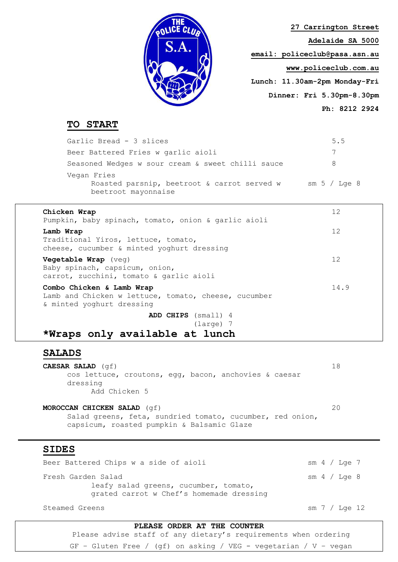

**27 Carrington Street Adelaide SA 5000 email: [policeclub@pasa.asn.au](mailto:policeclub@pasa.asn.au) www.policeclub.com.au Lunch: 11.30am-2pm Monday-Fri Dinner: Fri 5.30pm-8.30pm Ph: 8212 2924**

# **TO START**

Garlic Bread - 3 slices 5.5 Beer Battered Fries w garlic aioli 7 Seasoned Wedges w sour cream & sweet chilli sauce 8 Vegan Fries Roasted parsnip, beetroot & carrot served w sm 5 / Lge 8 beetroot mayonnaise

### **Chicken Wrap** 12

| Pumpkin, baby spinach, tomato, onion & garlic aioli                                                            |      |
|----------------------------------------------------------------------------------------------------------------|------|
| Lamb Wrap<br>Traditional Yiros, lettuce, tomato,<br>cheese, cucumber & minted yoghurt dressing                 | 12   |
| Vegetable Wrap (veg)<br>Baby spinach, capsicum, onion,<br>carrot, zucchini, tomato & garlic aioli              | 12   |
| Combo Chicken & Lamb Wrap<br>Lamb and Chicken w lettuce, tomato, cheese, cucumber<br>& minted yoghurt dressing | 14.9 |
| ADD CHIPS (small) 4                                                                                            |      |
| $(larea)$ 7                                                                                                    |      |
| *Wraps only available at lunch                                                                                 |      |

## **SALADS**

**CAESAR SALAD** (gf) 18 cos lettuce, croutons, egg, bacon, anchovies & caesar dressing Add Chicken 5

**MOROCCAN CHICKEN SALAD** (qf) 20 Salad greens, feta, sundried tomato, cucumber, red onion, capsicum, roasted pumpkin & Balsamic Glaze

## **SIDES**

Beer Battered Chips w a side of aioli sm 4 / Lge 7 Fresh Garden Salad sm 4 / Lge 8 leafy salad greens, cucumber, tomato, grated carrot w Chef's homemade dressing

Steamed Greens sm 7 / Lge 12

#### **PLEASE ORDER AT THE COUNTER**

Please advise staff of any dietary's requirements when ordering GF – Gluten Free / (gf) on asking / VEG - vegetarian / V – vegan